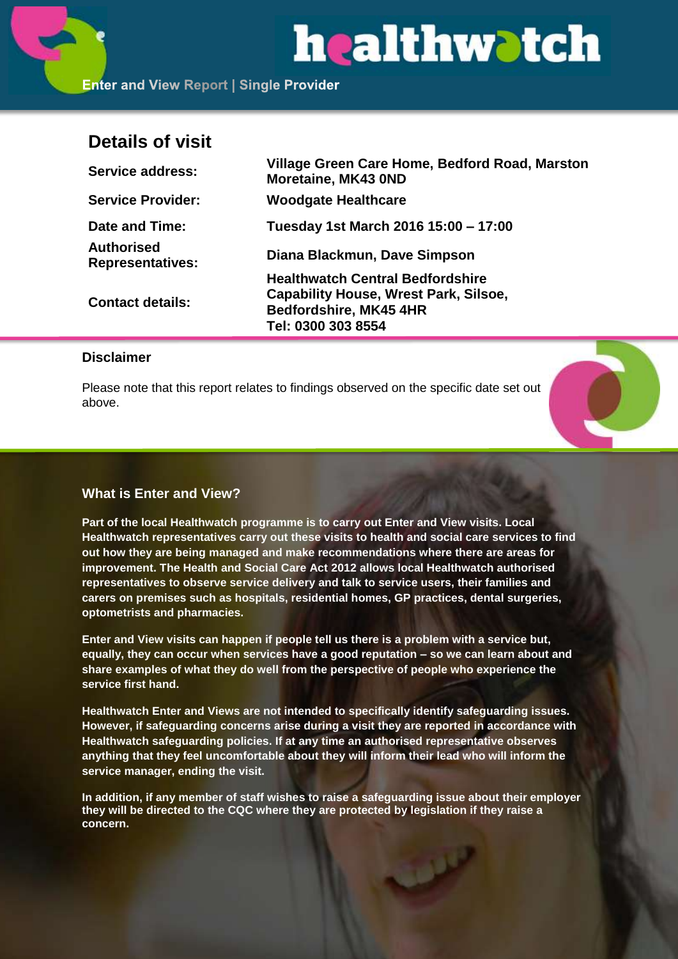# healthwatch

**Enter and View Report | Single Provider** 

# **Details of visit**

| <b>Service address:</b>               | Village Green Care Home, Bedford Road, Marston<br>Moretaine, MK43 0ND |
|---------------------------------------|-----------------------------------------------------------------------|
| <b>Service Provider:</b>              | <b>Woodgate Healthcare</b>                                            |
| Date and Time:                        | Tuesday 1st March 2016 15:00 - 17:00                                  |
| Authorised<br><b>Representatives:</b> | Diana Blackmun, Dave Simpson                                          |
| <b>Contact details:</b>               | <b>Healthwatch Central Bedfordshire</b>                               |
|                                       | <b>Capability House, Wrest Park, Silsoe,</b>                          |
|                                       | <b>Bedfordshire, MK45 4HR</b>                                         |
|                                       | Tel: 0300 303 8554                                                    |

# **Disclaimer**

Please note that this report relates to findings observed on the specific date set out above.



# **What is Enter and View?**

**Part of the local Healthwatch programme is to carry out Enter and View visits. Local Healthwatch representatives carry out these visits to health and social care services to find out how they are being managed and make recommendations where there are areas for improvement. The Health and Social Care Act 2012 allows local Healthwatch authorised representatives to observe service delivery and talk to service users, their families and carers on premises such as hospitals, residential homes, GP practices, dental surgeries, optometrists and pharmacies.** 

**Enter and View visits can happen if people tell us there is a problem with a service but, equally, they can occur when services have a good reputation – so we can learn about and share examples of what they do well from the perspective of people who experience the service first hand.**

**Healthwatch Enter and Views are not intended to specifically identify safeguarding issues. However, if safeguarding concerns arise during a visit they are reported in accordance with Healthwatch safeguarding policies. If at any time an authorised representative observes anything that they feel uncomfortable about they will inform their lead who will inform the service manager, ending the visit.** 

**In addition, if any member of staff wishes to raise a safeguarding issue about their employer they will be directed to the CQC where they are protected by legislation if they raise a concern.**

فبملات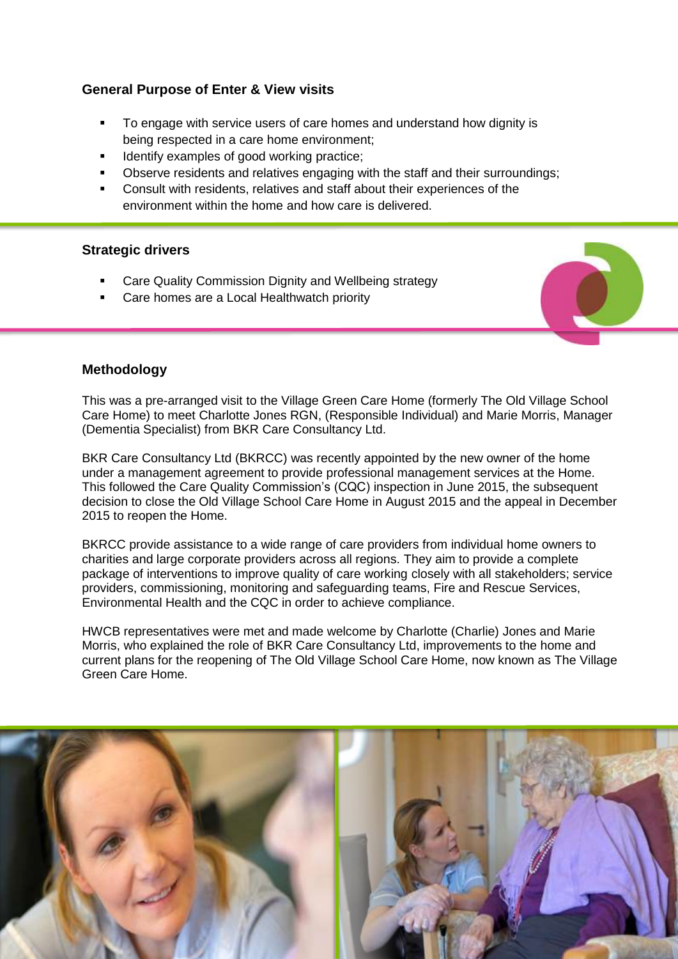# **General Purpose of Enter & View visits**

- To engage with service users of care homes and understand how dignity is being respected in a care home environment;
- Identify examples of good working practice;
- Observe residents and relatives engaging with the staff and their surroundings;
- Consult with residents, relatives and staff about their experiences of the environment within the home and how care is delivered.

# **Strategic drivers**

- Care Quality Commission Dignity and Wellbeing strategy
- Care homes are a Local Healthwatch priority

# **Methodology**

This was a pre-arranged visit to the Village Green Care Home (formerly The Old Village School Care Home) to meet Charlotte Jones RGN, (Responsible Individual) and Marie Morris, Manager (Dementia Specialist) from BKR Care Consultancy Ltd.

BKR Care Consultancy Ltd (BKRCC) was recently appointed by the new owner of the home under a management agreement to provide professional management services at the Home. This followed the Care Quality Commission's (CQC) inspection in June 2015, the subsequent decision to close the Old Village School Care Home in August 2015 and the appeal in December 2015 to reopen the Home.

BKRCC provide assistance to a wide range of care providers from individual home owners to charities and large corporate providers across all regions. They aim to provide a complete package of interventions to improve quality of care working closely with all stakeholders; service providers, commissioning, monitoring and safeguarding teams, Fire and Rescue Services, Environmental Health and the CQC in order to achieve compliance.

HWCB representatives were met and made welcome by Charlotte (Charlie) Jones and Marie Morris, who explained the role of BKR Care Consultancy Ltd, improvements to the home and current plans for the reopening of The Old Village School Care Home, now known as The Village Green Care Home.

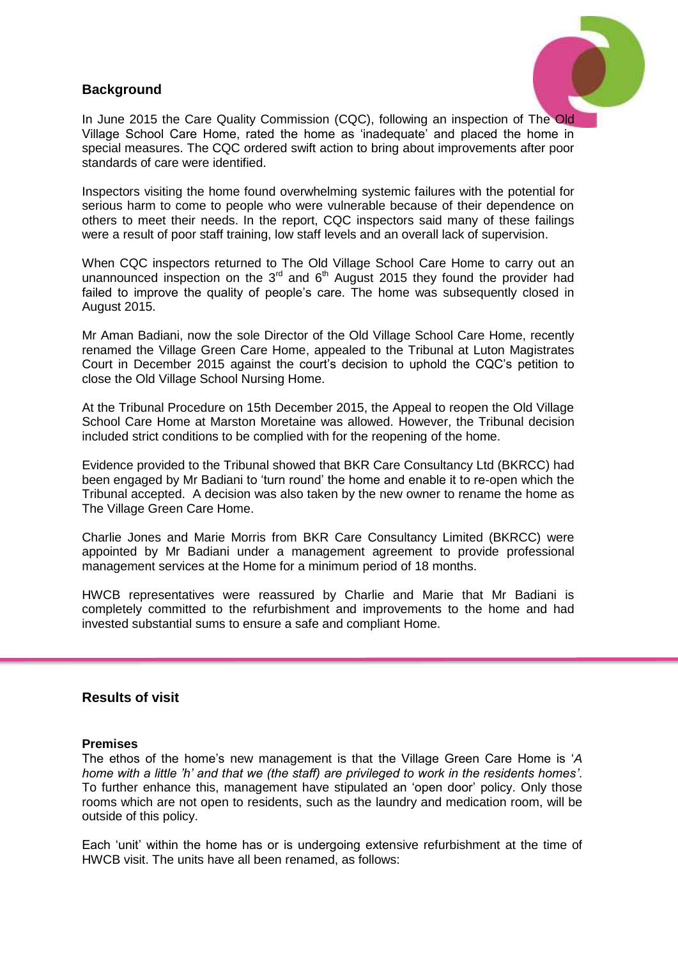# **Background**



In June 2015 the Care Quality Commission (CQC), following an inspection of The Old Village School Care Home, rated the home as 'inadequate' and placed the home in special measures. The CQC ordered swift action to bring about improvements after poor standards of care were identified.

Inspectors visiting the home found overwhelming systemic failures with the potential for serious harm to come to people who were vulnerable because of their dependence on others to meet their needs. In the report, CQC inspectors said many of these failings were a result of poor staff training, low staff levels and an overall lack of supervision.

When CQC inspectors returned to The Old Village School Care Home to carry out an unannounced inspection on the  $3<sup>rd</sup>$  and  $6<sup>th</sup>$  August 2015 they found the provider had failed to improve the quality of people's care. The home was subsequently closed in August 2015.

Mr Aman Badiani, now the sole Director of the Old Village School Care Home, recently renamed the Village Green Care Home, appealed to the Tribunal at Luton Magistrates Court in December 2015 against the court's decision to uphold the CQC's petition to close the Old Village School Nursing Home.

At the Tribunal Procedure on 15th December 2015, the Appeal to reopen the Old Village School Care Home at Marston Moretaine was allowed. However, the Tribunal decision included strict conditions to be complied with for the reopening of the home.

Evidence provided to the Tribunal showed that BKR Care Consultancy Ltd (BKRCC) had been engaged by Mr Badiani to 'turn round' the home and enable it to re-open which the Tribunal accepted. A decision was also taken by the new owner to rename the home as The Village Green Care Home.

Charlie Jones and Marie Morris from BKR Care Consultancy Limited (BKRCC) were appointed by Mr Badiani under a management agreement to provide professional management services at the Home for a minimum period of 18 months.

HWCB representatives were reassured by Charlie and Marie that Mr Badiani is completely committed to the refurbishment and improvements to the home and had invested substantial sums to ensure a safe and compliant Home.

#### **Results of visit**

#### **Premises**

The ethos of the home's new management is that the Village Green Care Home is '*A home with a little 'h' and that we (the staff) are privileged to work in the residents homes'*. To further enhance this, management have stipulated an 'open door' policy. Only those rooms which are not open to residents, such as the laundry and medication room, will be outside of this policy.

Each 'unit' within the home has or is undergoing extensive refurbishment at the time of HWCB visit. The units have all been renamed, as follows: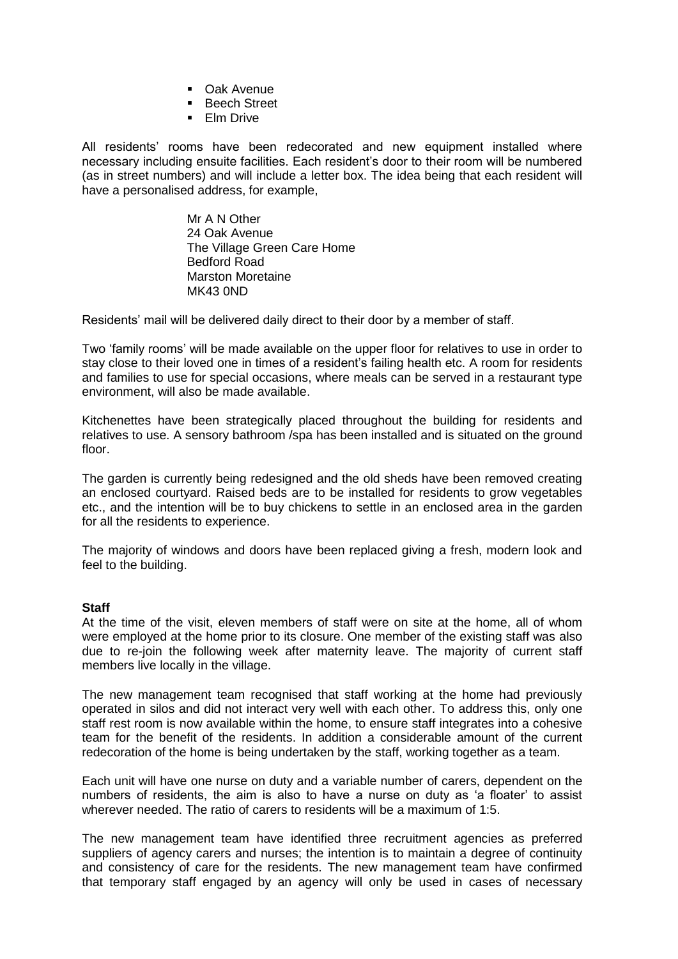- Oak Avenue
- **Beech Street**
- **Elm Drive**

All residents' rooms have been redecorated and new equipment installed where necessary including ensuite facilities. Each resident's door to their room will be numbered (as in street numbers) and will include a letter box. The idea being that each resident will have a personalised address, for example,

> Mr A N Other 24 Oak Avenue The Village Green Care Home Bedford Road Marston Moretaine MK43 0ND

Residents' mail will be delivered daily direct to their door by a member of staff.

Two 'family rooms' will be made available on the upper floor for relatives to use in order to stay close to their loved one in times of a resident's failing health etc. A room for residents and families to use for special occasions, where meals can be served in a restaurant type environment, will also be made available.

Kitchenettes have been strategically placed throughout the building for residents and relatives to use. A sensory bathroom /spa has been installed and is situated on the ground floor.

The garden is currently being redesigned and the old sheds have been removed creating an enclosed courtyard. Raised beds are to be installed for residents to grow vegetables etc., and the intention will be to buy chickens to settle in an enclosed area in the garden for all the residents to experience.

The majority of windows and doors have been replaced giving a fresh, modern look and feel to the building.

#### **Staff**

At the time of the visit, eleven members of staff were on site at the home, all of whom were employed at the home prior to its closure. One member of the existing staff was also due to re-join the following week after maternity leave. The majority of current staff members live locally in the village.

The new management team recognised that staff working at the home had previously operated in silos and did not interact very well with each other. To address this, only one staff rest room is now available within the home, to ensure staff integrates into a cohesive team for the benefit of the residents. In addition a considerable amount of the current redecoration of the home is being undertaken by the staff, working together as a team.

Each unit will have one nurse on duty and a variable number of carers, dependent on the numbers of residents, the aim is also to have a nurse on duty as 'a floater' to assist wherever needed. The ratio of carers to residents will be a maximum of 1:5.

The new management team have identified three recruitment agencies as preferred suppliers of agency carers and nurses; the intention is to maintain a degree of continuity and consistency of care for the residents. The new management team have confirmed that temporary staff engaged by an agency will only be used in cases of necessary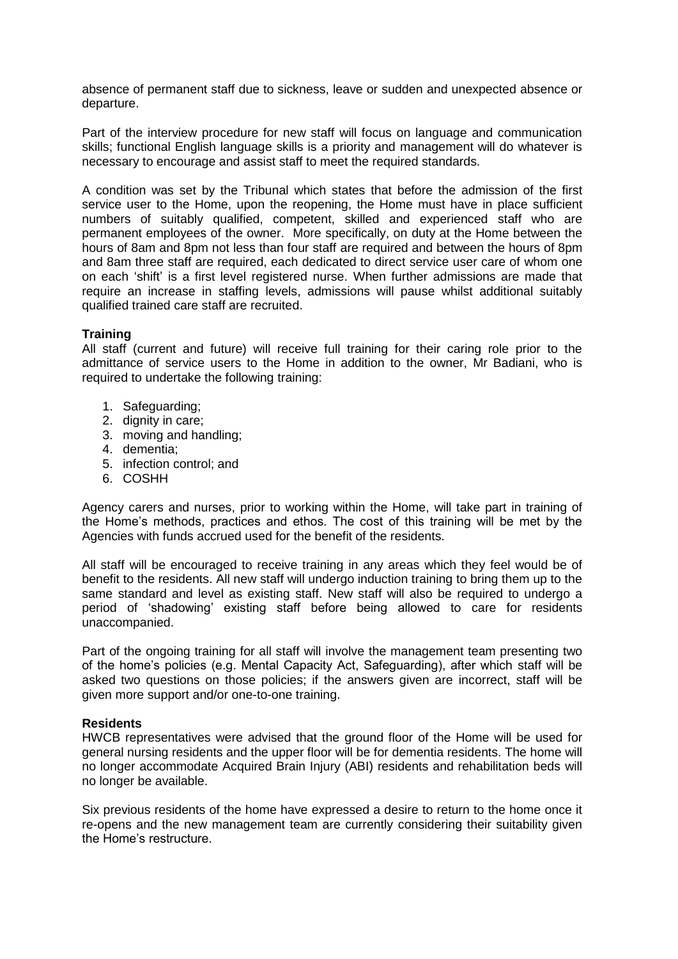absence of permanent staff due to sickness, leave or sudden and unexpected absence or departure.

Part of the interview procedure for new staff will focus on language and communication skills; functional English language skills is a priority and management will do whatever is necessary to encourage and assist staff to meet the required standards.

A condition was set by the Tribunal which states that before the admission of the first service user to the Home, upon the reopening, the Home must have in place sufficient numbers of suitably qualified, competent, skilled and experienced staff who are permanent employees of the owner. More specifically, on duty at the Home between the hours of 8am and 8pm not less than four staff are required and between the hours of 8pm and 8am three staff are required, each dedicated to direct service user care of whom one on each 'shift' is a first level registered nurse. When further admissions are made that require an increase in staffing levels, admissions will pause whilst additional suitably qualified trained care staff are recruited.

#### **Training**

All staff (current and future) will receive full training for their caring role prior to the admittance of service users to the Home in addition to the owner, Mr Badiani, who is required to undertake the following training:

- 1. Safeguarding;
- 2. dignity in care;
- 3. moving and handling;
- 4. dementia;
- 5. infection control; and
- 6. COSHH

Agency carers and nurses, prior to working within the Home, will take part in training of the Home's methods, practices and ethos. The cost of this training will be met by the Agencies with funds accrued used for the benefit of the residents.

All staff will be encouraged to receive training in any areas which they feel would be of benefit to the residents. All new staff will undergo induction training to bring them up to the same standard and level as existing staff. New staff will also be required to undergo a period of 'shadowing' existing staff before being allowed to care for residents unaccompanied.

Part of the ongoing training for all staff will involve the management team presenting two of the home's policies (e.g. Mental Capacity Act, Safeguarding), after which staff will be asked two questions on those policies; if the answers given are incorrect, staff will be given more support and/or one-to-one training.

#### **Residents**

HWCB representatives were advised that the ground floor of the Home will be used for general nursing residents and the upper floor will be for dementia residents. The home will no longer accommodate Acquired Brain Injury (ABI) residents and rehabilitation beds will no longer be available.

Six previous residents of the home have expressed a desire to return to the home once it re-opens and the new management team are currently considering their suitability given the Home's restructure.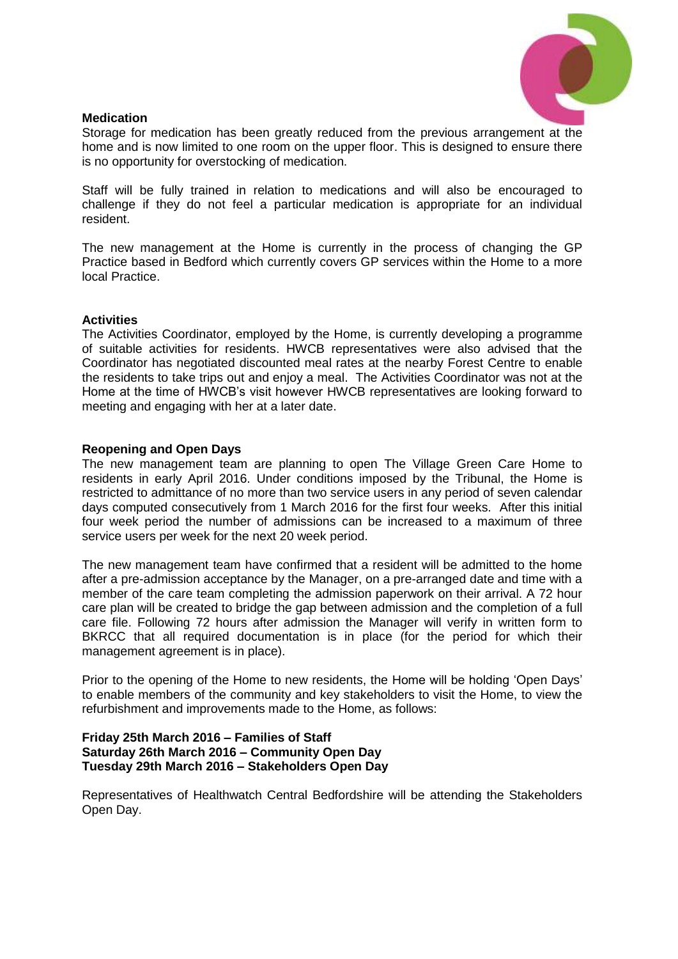

#### **Medication**

Storage for medication has been greatly reduced from the previous arrangement at the home and is now limited to one room on the upper floor. This is designed to ensure there is no opportunity for overstocking of medication.

Staff will be fully trained in relation to medications and will also be encouraged to challenge if they do not feel a particular medication is appropriate for an individual resident.

The new management at the Home is currently in the process of changing the GP Practice based in Bedford which currently covers GP services within the Home to a more local Practice.

#### **Activities**

The Activities Coordinator, employed by the Home, is currently developing a programme of suitable activities for residents. HWCB representatives were also advised that the Coordinator has negotiated discounted meal rates at the nearby Forest Centre to enable the residents to take trips out and enjoy a meal. The Activities Coordinator was not at the Home at the time of HWCB's visit however HWCB representatives are looking forward to meeting and engaging with her at a later date.

#### **Reopening and Open Days**

The new management team are planning to open The Village Green Care Home to residents in early April 2016. Under conditions imposed by the Tribunal, the Home is restricted to admittance of no more than two service users in any period of seven calendar days computed consecutively from 1 March 2016 for the first four weeks. After this initial four week period the number of admissions can be increased to a maximum of three service users per week for the next 20 week period.

The new management team have confirmed that a resident will be admitted to the home after a pre-admission acceptance by the Manager, on a pre-arranged date and time with a member of the care team completing the admission paperwork on their arrival. A 72 hour care plan will be created to bridge the gap between admission and the completion of a full care file. Following 72 hours after admission the Manager will verify in written form to BKRCC that all required documentation is in place (for the period for which their management agreement is in place).

Prior to the opening of the Home to new residents, the Home will be holding 'Open Days' to enable members of the community and key stakeholders to visit the Home, to view the refurbishment and improvements made to the Home, as follows:

#### **Friday 25th March 2016 – Families of Staff Saturday 26th March 2016 – Community Open Day Tuesday 29th March 2016 – Stakeholders Open Day**

Representatives of Healthwatch Central Bedfordshire will be attending the Stakeholders Open Day.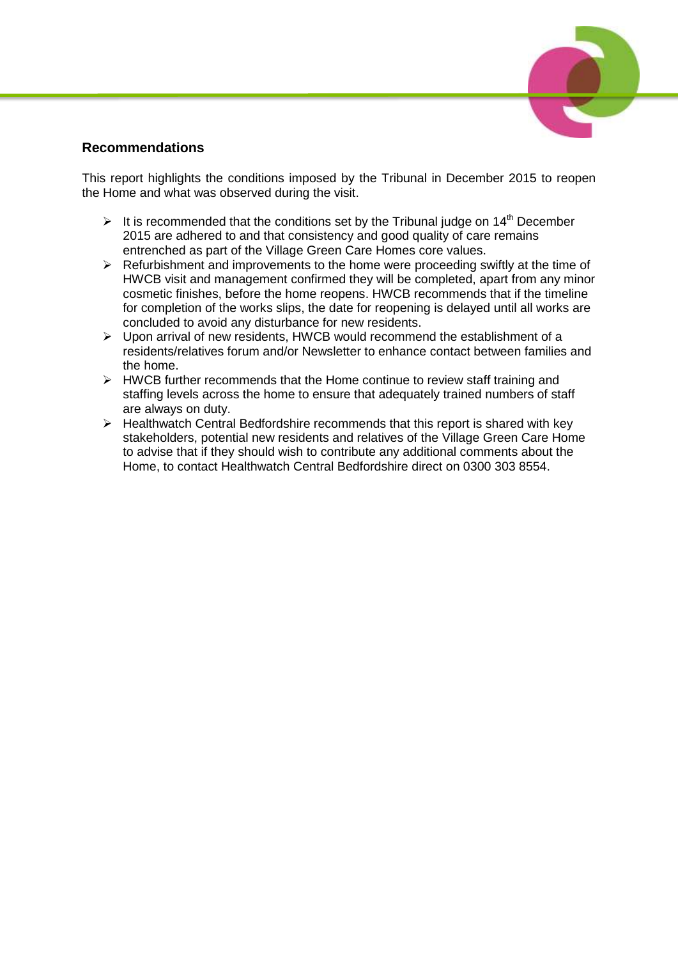# **Recommendations**

This report highlights the conditions imposed by the Tribunal in December 2015 to reopen the Home and what was observed during the visit.

- It is recommended that the conditions set by the Tribunal judge on 14<sup>th</sup> December 2015 are adhered to and that consistency and good quality of care remains entrenched as part of the Village Green Care Homes core values.
- $\triangleright$  Refurbishment and improvements to the home were proceeding swiftly at the time of HWCB visit and management confirmed they will be completed, apart from any minor cosmetic finishes, before the home reopens. HWCB recommends that if the timeline for completion of the works slips, the date for reopening is delayed until all works are concluded to avoid any disturbance for new residents.
- $\triangleright$  Upon arrival of new residents, HWCB would recommend the establishment of a residents/relatives forum and/or Newsletter to enhance contact between families and the home.
- $\triangleright$  HWCB further recommends that the Home continue to review staff training and staffing levels across the home to ensure that adequately trained numbers of staff are always on duty.
- $\triangleright$  Healthwatch Central Bedfordshire recommends that this report is shared with key stakeholders, potential new residents and relatives of the Village Green Care Home to advise that if they should wish to contribute any additional comments about the Home, to contact Healthwatch Central Bedfordshire direct on 0300 303 8554.